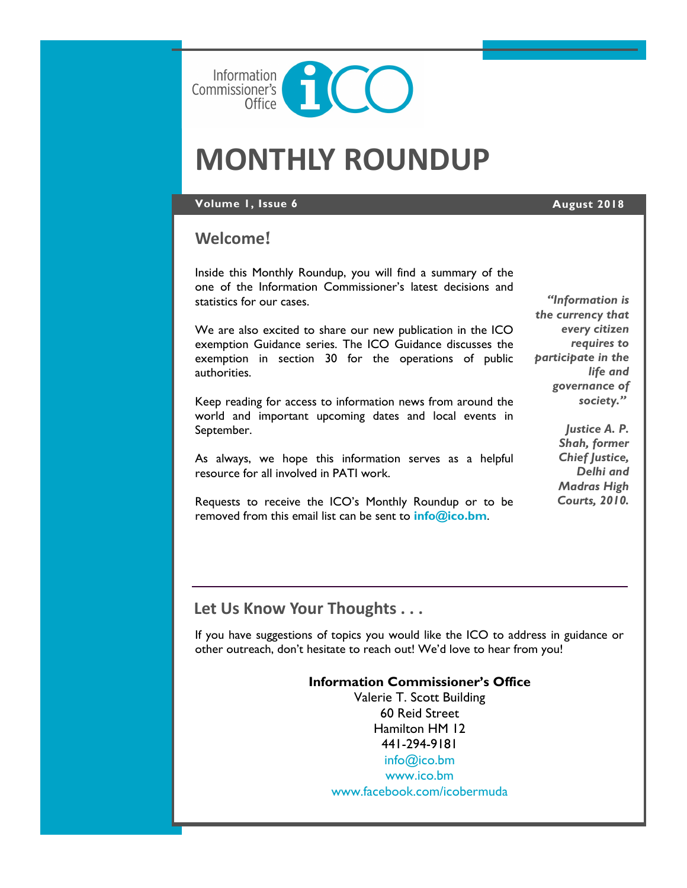

# **MONTHLY ROUNDUP**

### **Volume 1, Issue 6 August 2018**

# **Welcome**!

Inside this Monthly Roundup, you will find a summary of the one of the Information Commissioner's latest decisions and statistics for our cases.

We are also excited to share our new publication in the ICO exemption Guidance series. The ICO Guidance discusses the exemption in section 30 for the operations of public authorities.

Keep reading for access to information news from around the world and important upcoming dates and local events in September.

As always, we hope this information serves as a helpful resource for all involved in PATI work.

Requests to receive the ICO's Monthly Roundup or to be removed from this email list can be sent to **[info@ico.bm](mailto:info@ico.bm)**.

*"Information is the currency that every citizen requires to participate in the life and governance of society."*

> *Justice A. P. Shah, former Chief Justice, Delhi and Madras High Courts, 2010.*

# **Let Us Know Your Thoughts . . .**

If you have suggestions of topics you would like the ICO to address in guidance or other outreach, don't hesitate to reach out! We'd love to hear from you!

#### **Information Commissioner's Office**

Valerie T. Scott Building 60 Reid Street Hamilton HM 12 441-294-9181 [info@ico.bm](mailto:info@ico.bm) [www.ico.bm](http://www.ico.bm) [www.facebook.com/icobermuda](http://www.facebook.com/icobermuda/ICOFS01S/Folder-Redirection$/gsgutierrez/Documents/Admin)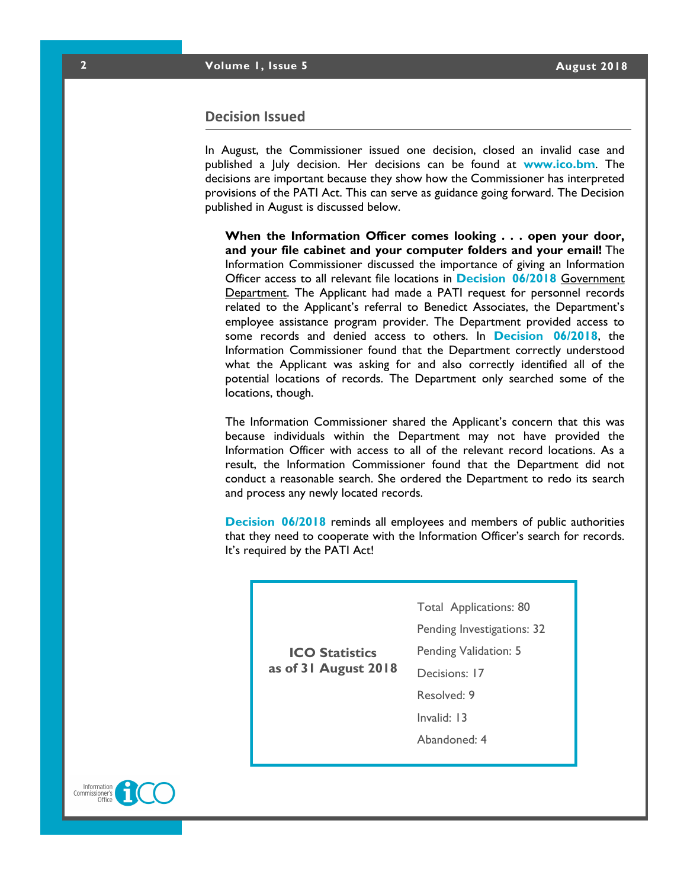#### **Decision Issued**

In August, the Commissioner issued one decision, closed an invalid case and published a July decision. Her decisions can be found at **[www.ico.bm](http://www.ico.bm)**. The decisions are important because they show how the Commissioner has interpreted provisions of the PATI Act. This can serve as guidance going forward. The Decision published in August is discussed below.

**When the Information Officer comes looking . . . open your door, and your file cabinet and your computer folders and your email!** The Information Commissioner discussed the importance of giving an Information Officer access to all relevant file locations in **[Decision 06/2018](https://docs.wixstatic.com/ugd/5803dc_23d725ad5dda42a6aaf09016f4343012.pdf)** [G](https://docs.wixstatic.com/ugd/5803dc_23d725ad5dda42a6aaf09016f4343012.pdf/ICOFS01S/Folder-Redirection$/gsgutierrez/Documents/Admin)overnment Department. The Applicant had made a PATI request for personnel records related to the Applicant's referral to Benedict Associates, the Department's employee assistance program provider. The Department provided access to some records and denied access to others. In **[Decision 06/2018](https://docs.wixstatic.com/ugd/5803dc_23d725ad5dda42a6aaf09016f4343012.pdf/ICOFS01S/Folder-Redirection$/gsgutierrez/Documents/Admin)**, the Information Commissioner found that the Department correctly understood what the Applicant was asking for and also correctly identified all of the potential locations of records. The Department only searched some of the locations, though.

The Information Commissioner shared the Applicant's concern that this was because individuals within the Department may not have provided the Information Officer with access to all of the relevant record locations. As a result, the Information Commissioner found that the Department did not conduct a reasonable search. She ordered the Department to redo its search and process any newly located records.

**[Decision 06/2018](https://docs.wixstatic.com/ugd/5803dc_23d725ad5dda42a6aaf09016f4343012.pdf)** reminds all employees and members of public authorities that they need to cooperate with the Information Officer's search for records. It's required by the PATI Act!

Total Applications: 80

Pending Investigations: 32

Pending Validation: 5

**ICO Statistics as of 31 August 2018**

Decisions: 17

Resolved: 9

Invalid: 13

Abandoned: 4

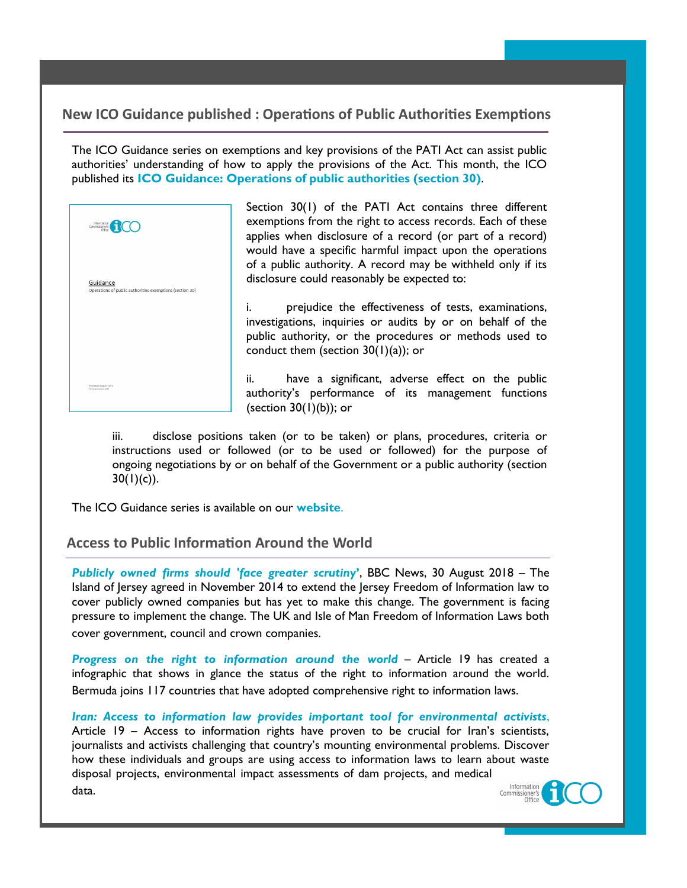# **New ICO Guidance published : Operations of Public Authorities Exemptions**

The ICO Guidance series on exemptions and key provisions of the PATI Act can assist public authorities' understanding of how to apply the provisions of the Act. This month, the ICO published its **[ICO Guidance: Operations of public authorities \(section 30\)](https://docs.wixstatic.com/ugd/5803dc_58b7456f0eeb45c1a5ffd63962b763ba.pdf/ICOFS01S/Folder-Redirection$/gsgutierrez/Documents/Admin)**.



Section 30(1) of the PATI Act contains three different exemptions from the right to access records. Each of these applies when disclosure of a record (or part of a record) would have a specific harmful impact upon the operations of a public authority. A record may be withheld only if its disclosure could reasonably be expected to:

i. prejudice the effectiveness of tests, examinations, investigations, inquiries or audits by or on behalf of the public authority, or the procedures or methods used to conduct them (section  $30(1)(a)$ ); or

ii. have a significant, adverse effect on the public authority's performance of its management functions (section 30(1)(b)); or

iii. disclose positions taken (or to be taken) or plans, procedures, criteria or instructions used or followed (or to be used or followed) for the purpose of ongoing negotiations by or on behalf of the Government or a public authority (section  $30(1)(c)$ ).

The ICO Guidance series is available on our **[website](https://www.ico.bm/exemptions-key-provision-guidances)**.

# **Access to Public Information Around the World**

*[Publicly owned firms should 'face greater scrutiny](https://www.bbc.co.uk/news/world-europe-jersey-45331849)***'**, BBC News, 30 August 2018 – The Island of Jersey agreed in November 2014 to extend the Jersey Freedom of Information law to cover publicly owned companies but has yet to make this change. The government is facing pressure to implement the change. The UK and Isle of Man Freedom of Information Laws both cover government, council and crown companies.

*[Progress on the right to information around the world](https://www.article19.org/resources/infographic-progress-on-the-right-to-information-around-the-world/)* – Article 19 has created a infographic that shows in glance the status of the right to information around the world. Bermuda joins 117 countries that have adopted comprehensive right to information laws.

*[Iran: Access to information law provides important tool for environmental activists](https://www.article19.org/resources/iran-access-to-information-law-provides-important-tool-for-environmental-activists/)*, Article 19 – Access to information rights have proven to be crucial for Iran's scientists, journalists and activists challenging that country's mounting environmental problems. Discover how these individuals and groups are using access to information laws to learn about waste disposal projects, environmental impact assessments of dam projects, and medical Information data.